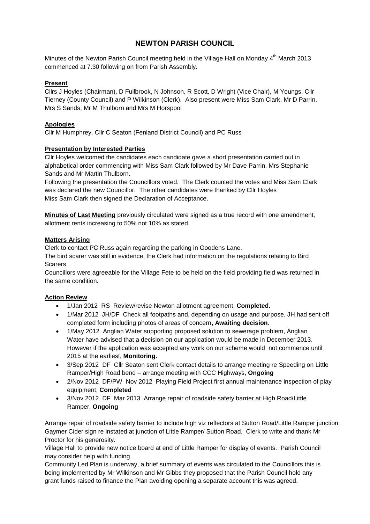# **NEWTON PARISH COUNCIL**

Minutes of the Newton Parish Council meeting held in the Village Hall on Monday 4<sup>th</sup> March 2013 commenced at 7.30 following on from Parish Assembly.

# **Present**

Cllrs J Hoyles (Chairman), D Fullbrook, N Johnson, R Scott, D Wright (Vice Chair), M Youngs. Cllr Tierney (County Council) and P Wilkinson (Clerk). Also present were Miss Sam Clark, Mr D Parrin, Mrs S Sands, Mr M Thulborn and Mrs M Horspool

# **Apologies**

Cllr M Humphrey, Cllr C Seaton (Fenland District Council) and PC Russ

# **Presentation by Interested Parties**

Cllr Hoyles welcomed the candidates each candidate gave a short presentation carried out in alphabetical order commencing with Miss Sam Clark followed by Mr Dave Parrin, Mrs Stephanie Sands and Mr Martin Thulborn.

Following the presentation the Councillors voted. The Clerk counted the votes and Miss Sam Clark was declared the new Councillor. The other candidates were thanked by Cllr Hoyles Miss Sam Clark then signed the Declaration of Acceptance.

**Minutes of Last Meeting** previously circulated were signed as a true record with one amendment, allotment rents increasing to 50% not 10% as stated.

## **Matters Arising**

Clerk to contact PC Russ again regarding the parking in Goodens Lane.

The bird scarer was still in evidence, the Clerk had information on the regulations relating to Bird Scarers.

Councillors were agreeable for the Village Fete to be held on the field providing field was returned in the same condition.

# **Action Review**

- 1/Jan 2012 RS Review/revise Newton allotment agreement, **Completed.**
- 1/Mar 2012 JH/DF Check all footpaths and, depending on usage and purpose, JH had sent off completed form including photos of areas of concern**, Awaiting decision**.
- 1/May 2012 Anglian Water supporting proposed solution to sewerage problem, Anglian Water have advised that a decision on our application would be made in December 2013. However if the application was accepted any work on our scheme would not commence until 2015 at the earliest, **Monitoring.**
- 3/Sep 2012 DF Cllr Seaton sent Clerk contact details to arrange meeting re Speeding on Little Ramper/High Road bend – arrange meeting with CCC Highways, **Ongoing**
- 2/Nov 2012 DF/PW Nov 2012 Playing Field Project first annual maintenance inspection of play equipment, **Completed**
- 3/Nov 2012 DF Mar 2013 Arrange repair of roadside safety barrier at High Road/Little Ramper, **Ongoing**

Arrange repair of roadside safety barrier to include high viz reflectors at Sutton Road/Little Ramper junction. Gaymer Cider sign re instated at junction of Little Ramper/ Sutton Road. Clerk to write and thank Mr Proctor for his generosity.

Village Hall to provide new notice board at end of Little Ramper for display of events. Parish Council may consider help with funding.

Community Led Plan is underway, a brief summary of events was circulated to the Councillors this is being implemented by Mr Wilkinson and Mr Gibbs they proposed that the Parish Council hold any grant funds raised to finance the Plan avoiding opening a separate account this was agreed.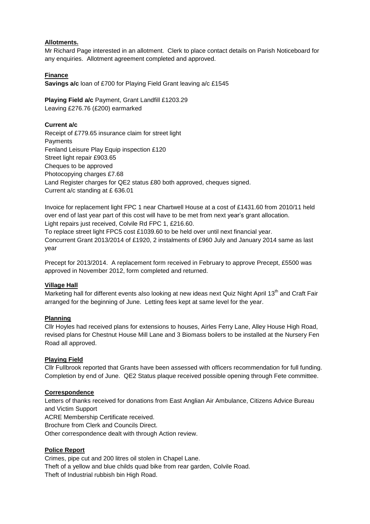## **Allotments.**

Mr Richard Page interested in an allotment. Clerk to place contact details on Parish Noticeboard for any enquiries. Allotment agreement completed and approved.

# **Finance**

**Savings a/c** loan of £700 for Playing Field Grant leaving a/c £1545

**Playing Field a/c** Payment, Grant Landfill £1203.29 Leaving £276.76 (£200) earmarked

## **Current a/c**

Receipt of £779.65 insurance claim for street light **Payments** Fenland Leisure Play Equip inspection £120 Street light repair £903.65 Cheques to be approved Photocopying charges £7.68 Land Register charges for QE2 status £80 both approved, cheques signed. Current a/c standing at £ 636.01

Invoice for replacement light FPC 1 near Chartwell House at a cost of £1431.60 from 2010/11 held over end of last year part of this cost will have to be met from next year's grant allocation. Light repairs just received, Colvile Rd FPC 1, £216.60.

To replace street light FPC5 cost £1039.60 to be held over until next financial year. Concurrent Grant 2013/2014 of £1920, 2 instalments of £960 July and January 2014 same as last year

Precept for 2013/2014. A replacement form received in February to approve Precept, £5500 was approved in November 2012, form completed and returned.

## **Village Hall**

Marketing hall for different events also looking at new ideas next Quiz Night April 13<sup>th</sup> and Craft Fair arranged for the beginning of June. Letting fees kept at same level for the year.

## **Planning**

Cllr Hoyles had received plans for extensions to houses, Airles Ferry Lane, Alley House High Road, revised plans for Chestnut House Mill Lane and 3 Biomass boilers to be installed at the Nursery Fen Road all approved.

## **Playing Field**

Cllr Fullbrook reported that Grants have been assessed with officers recommendation for full funding. Completion by end of June. QE2 Status plaque received possible opening through Fete committee.

## **Correspondence**

Letters of thanks received for donations from East Anglian Air Ambulance, Citizens Advice Bureau and Victim Support

ACRE Membership Certificate received.

Brochure from Clerk and Councils Direct.

Other correspondence dealt with through Action review.

## **Police Report**

Crimes, pipe cut and 200 litres oil stolen in Chapel Lane. Theft of a yellow and blue childs quad bike from rear garden, Colvile Road. Theft of Industrial rubbish bin High Road.